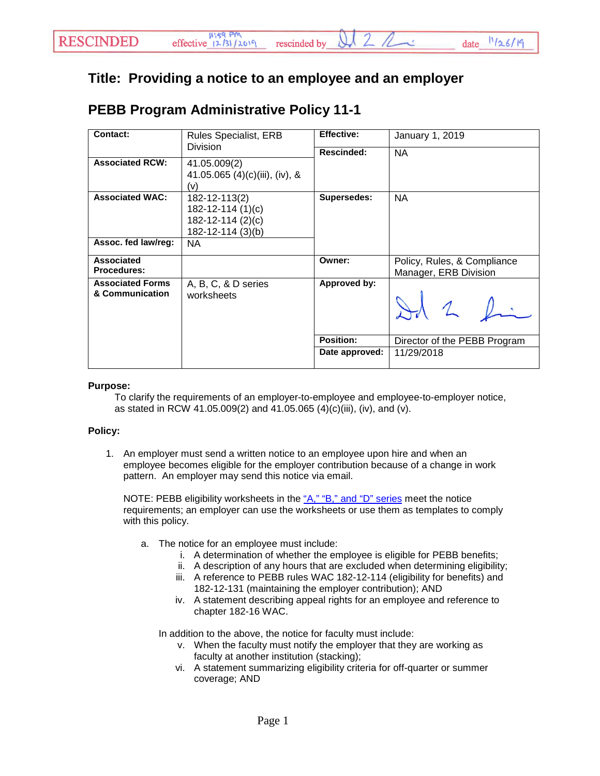## **Title: Providing a notice to an employee and an employer**

## **PEBB Program Administrative Policy 11-1**

| Contact:<br><b>Division</b> | <b>Rules Specialist, ERB</b>   | <b>Effective:</b> | January 1, 2019              |
|-----------------------------|--------------------------------|-------------------|------------------------------|
|                             |                                | <b>Rescinded:</b> | <b>NA</b>                    |
| <b>Associated RCW:</b>      | 41.05.009(2)                   |                   |                              |
|                             | 41.05.065 (4)(c)(iii), (iv), & |                   |                              |
|                             | (v)                            |                   |                              |
| <b>Associated WAC:</b>      | 182-12-113(2)                  | Supersedes:       | <b>NA</b>                    |
|                             | 182-12-114 (1)(c)              |                   |                              |
|                             | 182-12-114 (2)(c)              |                   |                              |
|                             | 182-12-114 (3)(b)              |                   |                              |
| Assoc. fed law/reg:         | NA.                            |                   |                              |
| <b>Associated</b>           |                                | Owner:            | Policy, Rules, & Compliance  |
| <b>Procedures:</b>          |                                |                   | Manager, ERB Division        |
| <b>Associated Forms</b>     | A, B, C, & D series            | Approved by:      |                              |
| & Communication             | worksheets                     |                   | 10.1                         |
|                             |                                | Position:         | Director of the PEBB Program |
|                             |                                | Date approved:    | 11/29/2018                   |

## **Purpose:**

To clarify the requirements of an employer-to-employee and employee-to-employer notice, as stated in RCW 41.05.009(2) and 41.05.065 (4)(c)(iii), (iv), and (v).

## **Policy:**

1. An employer must send a written notice to an employee upon hire and when an employee becomes eligible for the employer contribution because of a change in work pattern. An employer may send this notice via email.

NOTE: PEBB eligibility worksheets in the ["A," "B," and "D"](http://www.perspay.hca.wa.gov/eligibility_tools.html) series meet the notice requirements; an employer can use the worksheets or use them as templates to comply with this policy.

- a. The notice for an employee must include:
	- i. A determination of whether the employee is eligible for PEBB benefits;
	- ii. A description of any hours that are excluded when determining eligibility;
	- iii. A reference to PEBB rules WAC 182-12-114 (eligibility for benefits) and 182-12-131 (maintaining the employer contribution); AND
	- iv. A statement describing appeal rights for an employee and reference to chapter 182-16 WAC.

In addition to the above, the notice for faculty must include:

- v. When the faculty must notify the employer that they are working as faculty at another institution (stacking);
- vi. A statement summarizing eligibility criteria for off-quarter or summer coverage; AND